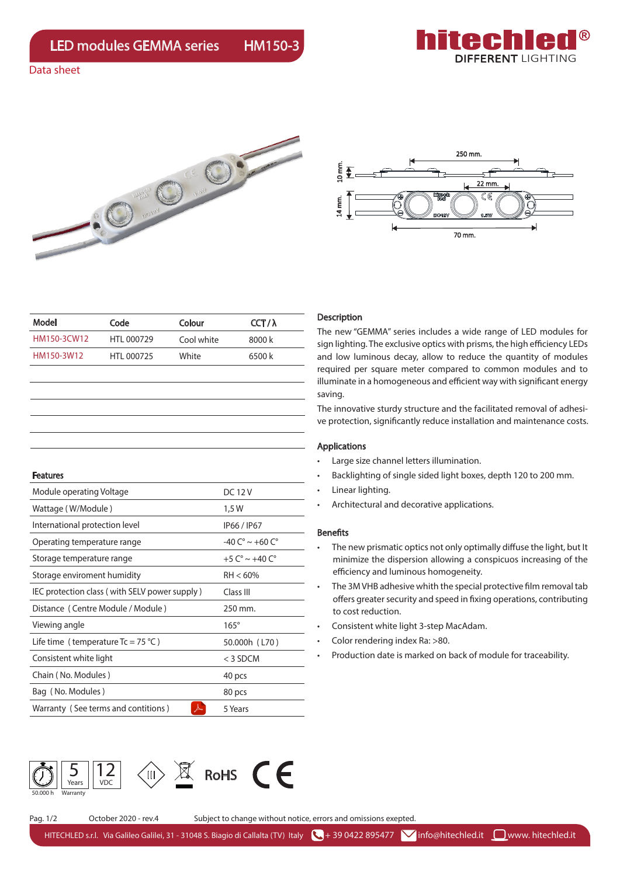

Data sheet





| Model       | Code       | Colour     | CCT/ $\lambda$ |
|-------------|------------|------------|----------------|
| HM150-3CW12 | HTI 000729 | Cool white | 8000 k         |
| HM150-3W12  | HTI 000725 | White      | 6500 k         |

| <b>Features</b>                               |                                    |
|-----------------------------------------------|------------------------------------|
| Module operating Voltage                      | <b>DC12V</b>                       |
| Wattage (W/Module)                            | 1,5 W                              |
| International protection level                | IP66 / IP67                        |
| Operating temperature range                   | $-40 C^{\circ} \sim +60 C^{\circ}$ |
| Storage temperature range                     | +5 $C^{\circ} \sim +40 C^{\circ}$  |
| Storage enviroment humidity                   | $RH < 60\%$                        |
| IEC protection class (with SELV power supply) | Class III                          |
| Distance (Centre Module / Module)             | 250 mm.                            |
| Viewing angle                                 | $165^\circ$                        |
| Life time (temperature $Tc = 75 °C$ )         | 50.000h (L70)                      |
| Consistent white light                        | $<$ 3 SDCM                         |
| Chain (No. Modules)                           | 40 pcs                             |
| Bag (No. Modules)                             | 80 pcs                             |
| Warranty (See terms and contitions)           | 5 Years                            |

### Description

The new "GEMMA" series includes a wide range of LED modules for sign lighting. The exclusive optics with prisms, the high efficiency LEDs and low luminous decay, allow to reduce the quantity of modules required per square meter compared to common modules and to illuminate in a homogeneous and efficient way with significant energy saving.

The innovative sturdy structure and the facilitated removal of adhesive protection, significantly reduce installation and maintenance costs.

#### Applications

- Large size channel letters illumination.
- Backlighting of single sided light boxes, depth 120 to 200 mm.
- Linear lighting.
- Architectural and decorative applications.

#### **Benefits**

- The new prismatic optics not only optimally diffuse the light, but It minimize the dispersion allowing a conspicuos increasing of the efficiency and luminous homogeneity.
- The 3M VHB adhesive whith the special protective film removal tab offers greater security and speed in fixing operations, contributing to cost reduction.
- Consistent white light 3-step MacAdam.
- Color rendering index Ra: >80.
- Production date is marked on back of module for traceability.